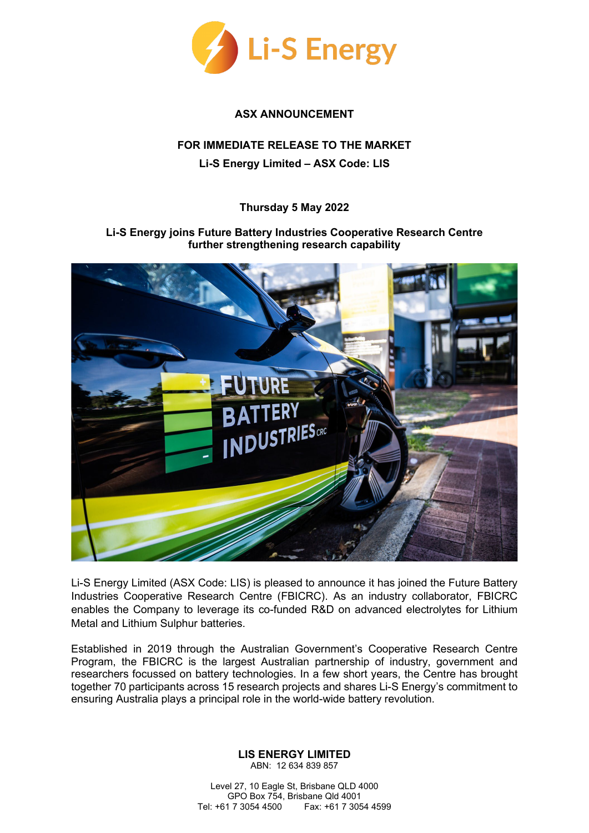

## **ASX ANNOUNCEMENT**

## **FOR IMMEDIATE RELEASE TO THE MARKET Li-S Energy Limited – ASX Code: LIS**

## **Thursday 5 May 2022**

## **Li-S Energy joins Future Battery Industries Cooperative Research Centre further strengthening research capability**



Li-S Energy Limited (ASX Code: LIS) is pleased to announce it has joined the Future Battery Industries Cooperative Research Centre (FBICRC). As an industry collaborator, FBICRC enables the Company to leverage its co-funded R&D on advanced electrolytes for Lithium Metal and Lithium Sulphur batteries.

Established in 2019 through the Australian Government's Cooperative Research Centre Program, the FBICRC is the largest Australian partnership of industry, government and researchers focussed on battery technologies. In a few short years, the Centre has brought together 70 participants across 15 research projects and shares Li-S Energy's commitment to ensuring Australia plays a principal role in the world-wide battery revolution.

> **LIS ENERGY LIMITED** ABN: 12 634 839 857

Level 27, 10 Eagle St, Brisbane QLD 4000 GPO Box 754, Brisbane Qld 4001<br>Tel: +61 7 3054 4500 Fax: +61 7 305 Fax: +61 7 3054 4599